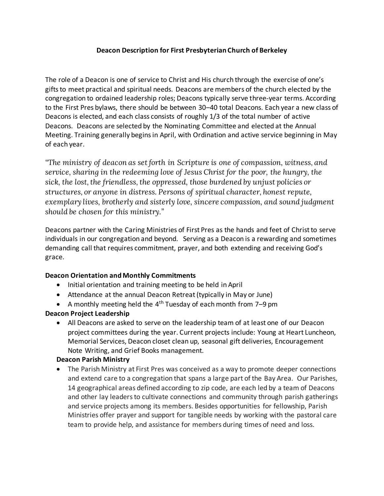## **Deacon Description for First Presbyterian Church of Berkeley**

The role of a Deacon is one of service to Christ and His church through the exercise of one's gifts to meet practical and spiritual needs. Deacons are members of the church elected by the congregation to ordained leadership roles; Deacons typically serve three-year terms. According to the First Pres bylaws, there should be between 30–40 total Deacons. Each year a new class of Deacons is elected, and each class consists of roughly 1/3 of the total number of active Deacons. Deacons are selected by the Nominating Committee and elected at the Annual Meeting. Training generally begins in April, with Ordination and active service beginning in May of each year.

*"The ministry of deacon as set forth in Scripture is one of compassion, witness, and service, sharing in the redeeming love of Jesus Christ for the poor, the hungry, the sick, the lost, the friendless, the oppressed, those burdened by unjust policies or structures, or anyone in distress. Persons of spiritual character, honest repute, exemplary lives, brotherly and sisterly love, sincere compassion, and sound judgment should be chosen for this ministry."*

Deacons partner with the Caring Ministries of First Pres as the hands and feet of Christ to serve individuals in our congregation and beyond. Serving as a Deacon is a rewarding and sometimes demanding call that requires commitment, prayer, and both extending and receiving God's grace.

#### **Deacon Orientation and Monthly Commitments**

- Initial orientation and training meeting to be held in April
- Attendance at the annual Deacon Retreat (typically in May or June)
- A monthly meeting held the  $4<sup>th</sup>$  Tuesday of each month from 7-9 pm

#### **Deacon Project Leadership**

• All Deacons are asked to serve on the leadership team of at least one of our Deacon project committees during the year. Current projects include: Young at Heart Luncheon, Memorial Services, Deacon closet clean up, seasonal gift deliveries, Encouragement Note Writing, and Grief Books management.

#### **Deacon Parish Ministry**

• The Parish Ministry at First Pres was conceived as a way to promote deeper connections and extend care to a congregation that spans a large part of the Bay Area. Our Parishes, 14 geographical areas defined according to zip code, are each led by a team of Deacons and other lay leaders to cultivate connections and community through parish gatherings and service projects among its members. Besides opportunities for fellowship, Parish Ministries offer prayer and support for tangible needs by working with the pastoral care team to provide help, and assistance for members during times of need and loss.